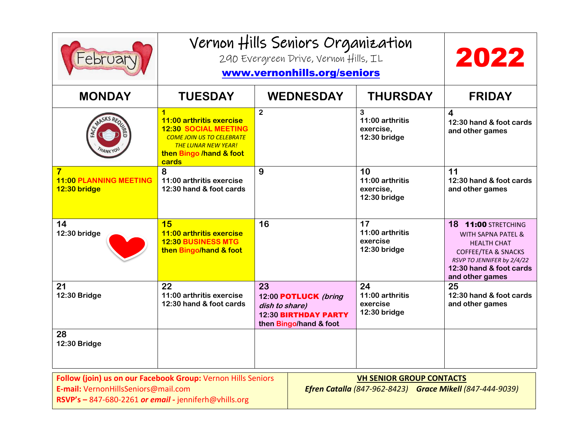| February                                                                                                                                                                                                                                                    | Vernon Hills Seniors Organization<br>290 Evergreen Drive, Vernon Hills, IL<br>www.vernonhills.org/seniors                                                          |                                                                                                |                  |                                                    | 2022                                                                                                                                                                                            |
|-------------------------------------------------------------------------------------------------------------------------------------------------------------------------------------------------------------------------------------------------------------|--------------------------------------------------------------------------------------------------------------------------------------------------------------------|------------------------------------------------------------------------------------------------|------------------|----------------------------------------------------|-------------------------------------------------------------------------------------------------------------------------------------------------------------------------------------------------|
| <b>MONDAY</b>                                                                                                                                                                                                                                               | <b>TUESDAY</b>                                                                                                                                                     |                                                                                                | <b>WEDNESDAY</b> | <b>THURSDAY</b>                                    | <b>FRIDAY</b>                                                                                                                                                                                   |
|                                                                                                                                                                                                                                                             | 1<br>11:00 arthritis exercise<br><b>12:30 SOCIAL MEETING</b><br><b>COME JOIN US TO CELEBRATE</b><br><b>THE LUNAR NEW YEAR!</b><br>then Bingo /hand & foot<br>cards | $\overline{2}$                                                                                 |                  | 3<br>11:00 arthritis<br>exercise,<br>12:30 bridge  | 4<br>12:30 hand & foot cards<br>and other games                                                                                                                                                 |
| $\overline{\mathbf{7}}$<br><b>11:00 PLANNING MEETING</b><br>12:30 bridge                                                                                                                                                                                    | 8<br>11:00 arthritis exercise<br>12:30 hand & foot cards                                                                                                           | 9                                                                                              |                  | 10<br>11:00 arthritis<br>exercise,<br>12:30 bridge | 11<br>12:30 hand & foot cards<br>and other games                                                                                                                                                |
| 14<br>12:30 bridge                                                                                                                                                                                                                                          | 15<br>11:00 arthritis exercise<br><b>12:30 BUSINESS MTG</b><br>then Bingo/hand & foot                                                                              | 16                                                                                             |                  | 17<br>11:00 arthritis<br>exercise<br>12:30 bridge  | <b>18 11:00 STRETCHING</b><br><b>WITH SAPNA PATEL &amp;</b><br><b>HEALTH CHAT</b><br><b>COFFEE/TEA &amp; SNACKS</b><br>RSVP TO JENNIFER by 2/4/22<br>12:30 hand & foot cards<br>and other games |
| 21<br>12:30 Bridge                                                                                                                                                                                                                                          | 22<br>11:00 arthritis exercise<br>12:30 hand & foot cards                                                                                                          | 23<br>12:00 POTLUCK (bring<br>dish to share)<br>12:30 BIRTHDAY PARTY<br>then Bingo/hand & foot |                  | 24<br>11:00 arthritis<br>exercise<br>12:30 bridge  | 25<br>12:30 hand & foot cards<br>and other games                                                                                                                                                |
| 28<br>12:30 Bridge                                                                                                                                                                                                                                          |                                                                                                                                                                    |                                                                                                |                  |                                                    |                                                                                                                                                                                                 |
| Follow (join) us on our Facebook Group: Vernon Hills Seniors<br><b>VH SENIOR GROUP CONTACTS</b><br>E-mail: VernonHillsSeniors@mail.com<br>Efren Catalla (847-962-8423) Grace Mikell (847-444-9039)<br>RSVP's - 847-680-2261 or email - jenniferh@vhills.org |                                                                                                                                                                    |                                                                                                |                  |                                                    |                                                                                                                                                                                                 |